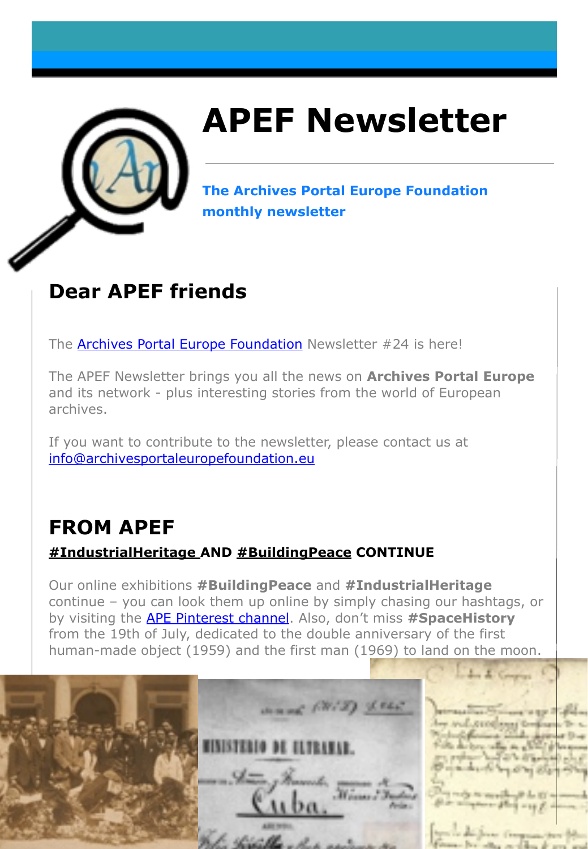

# **APEF Newsletter**

**The Archives Portal Europe Foundation monthly newsletter**

### **Dear APEF friends**

The **Archives Portal Europe Foundation** Newsletter #24 is here!

The APEF Newsletter brings you all the news on **Archives Portal Europe**  and its network - plus interesting stories from the world of European archives.

If you want to contribute to the newsletter, please contact us at [info@archivesportaleuropefoundation.eu](mailto:info@archivesportaleuropefoundation.eu)

### **FROM APEF**

### **#IndustrialHeritage AND #BuildingPeace CONTINUE**

Our online exhibitions **#BuildingPeace** and **#IndustrialHeritage**  continue – you can look them up online by simply chasing our hashtags, or by visiting the [APE Pinterest channel.](https://www.pinterest.co.uk/archivesportaleurope/) Also, don't miss **#SpaceHistory**  from the 19th of July, dedicated to the double anniversary of the first human-made object (1959) and the first man (1969) to land on the moon.

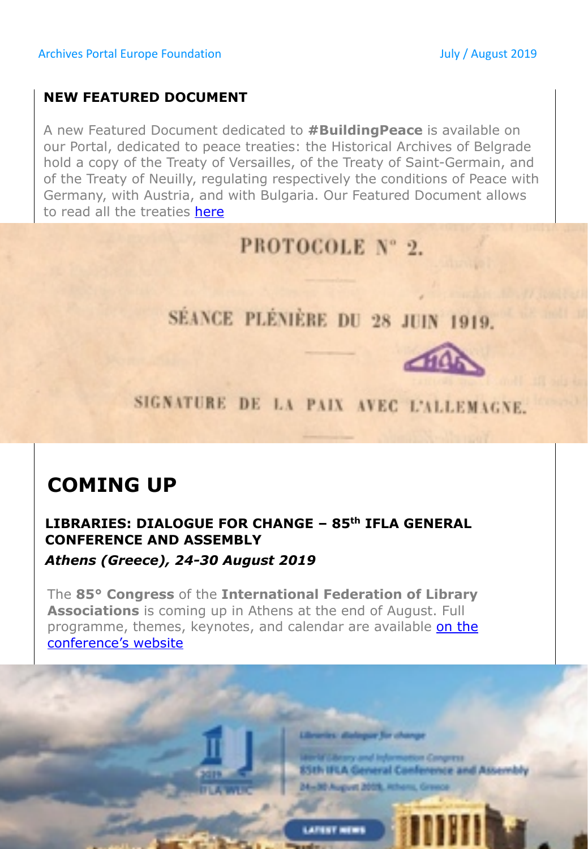#### **NEW FEATURED DOCUMENT**

**CONFERENCE AND ASSEMBLY** 

**COMING UP**

conference's website

*Athens (Greece), 24-30 August 2019* 

A new Featured Document dedicated to **#BuildingPeace** is available on our Portal, dedicated to peace treaties: the Historical Archives of Belgrade hold a copy of the Treaty of Versailles, of the Treaty of Saint-Germain, and of the Treaty of Neuilly, regulating respectively the conditions of Peace with Germany, with Austria, and with Bulgaria. Our Featured Document allows to read all the treaties [here](http://www.archivesportaleurope.net/featured-document/-/fed/pk/109358%23sthash.tJZXAx5f.dpbs)

PROTOCOLE Nº 2.

SÉANCE PLÉNIÈRE DU 28 JUIN 1919.

SIGNATURE DE LA PAIX AVEC L'ALLEMAGNE.

ar for an

**Box Congress** 

85th IFLA General Conference and Assembly

**Mary and Inform** 

24-30 August 2019, Athens, Gr

**LAFINT MENS** 

**LIBRARIES: DIALOGUE FOR CHANGE – 85th IFLA GENERAL** 

The **85° Congress** of the **International Federation of Library Associations** is coming up in Athens at the end of August. Full programme, themes, keynotes, and calendar are available on the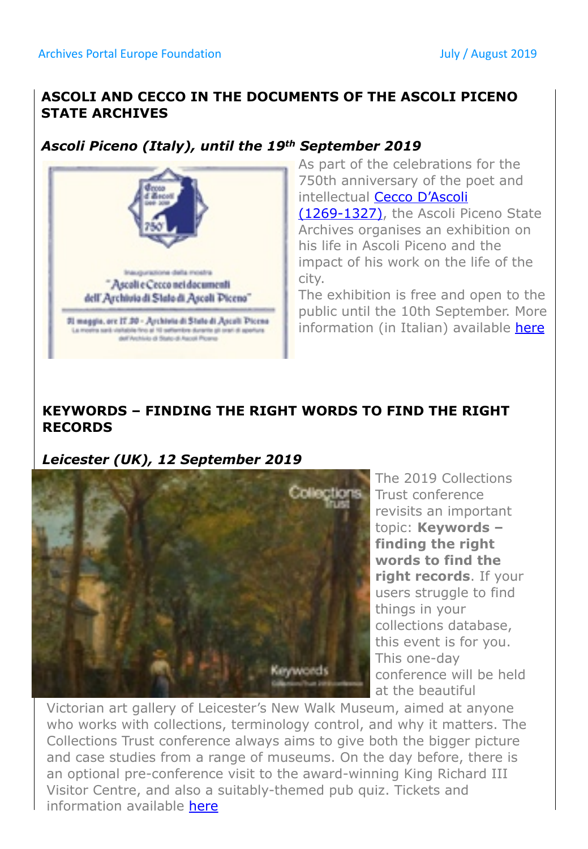#### **ASCOLI AND CECCO IN THE DOCUMENTS OF THE ASCOLI PICENO STATE ARCHIVES**

#### *Ascoli Piceno (Italy), until the 19th September 2019*



As part of the celebrations for the 750th anniversary of the poet and [intellectual Cecco D'Ascoli](https://en.wikipedia.org/wiki/Cecco_d) 

(1269-1327), the Ascoli Piceno State Archives organises an exhibition on his life in Ascoli Piceno and the impact of his work on the life of the city.

The exhibition is free and open to the public until the 10th September. More information (in Italian) available [here](https://www.archiviodistatoap.it/news/ascoli-e-cecco-nei-documenti-dellarchivio-di-stato-di-ascoli-piceno/)

#### **KEYWORDS – FINDING THE RIGHT WORDS TO FIND THE RIGHT RECORDS**

#### *Leicester (UK), 12 September 2019*



The 2019 Collections Trust conference revisits an important topic: **Keywords – finding the right words to find the right records**. If your users struggle to find things in your collections database, this event is for you. This one-day conference will be held at the beautiful

Victorian art gallery of Leicester's New Walk Museum, aimed at anyone who works with collections, terminology control, and why it matters. The Collections Trust conference always aims to give both the bigger picture and case studies from a range of museums. On the day before, there is an optional pre-conference visit to the award-winning King Richard III Visitor Centre, and also a suitably-themed pub quiz. Tickets and information available [here](https://collectionstrust.org.uk/product-category/conference/)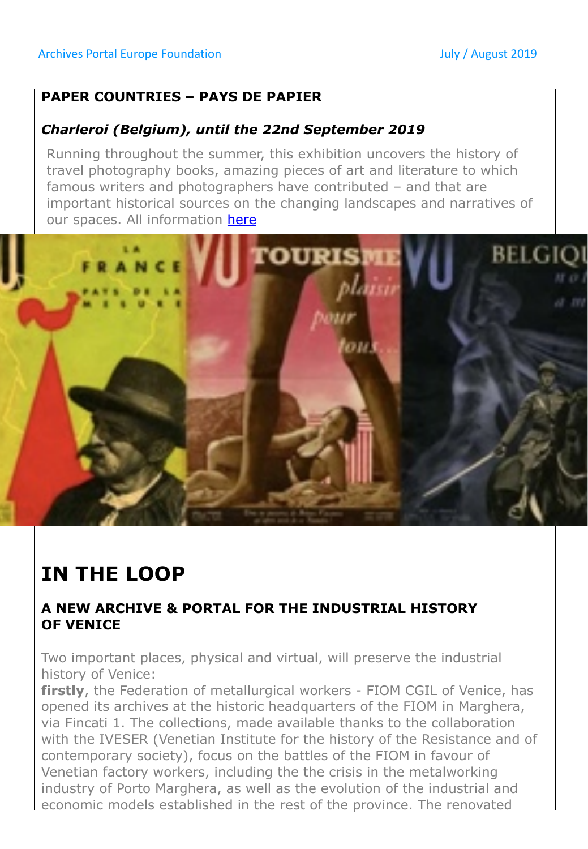#### **PAPER COUNTRIES – PAYS DE PAPIER**

#### *Charleroi (Belgium), until the 22nd September 2019*

Running throughout the summer, this exhibition uncovers the history of travel photography books, amazing pieces of art and literature to which famous writers and photographers have contributed – and that are important historical sources on the changing landscapes and narratives of our spaces. All information [here](https://archivesportaleurope.blog/2019/06/27/exhibition-paper-countries-pays-de-papier/)



## **IN THE LOOP**

#### **A NEW ARCHIVE & PORTAL FOR THE INDUSTRIAL HISTORY OF VENICE**

Two important places, physical and virtual, will preserve the industrial history of Venice:

**firstly**, the Federation of metallurgical workers - FIOM CGIL of Venice, has opened its archives at the historic headquarters of the FIOM in Marghera, via Fincati 1. The collections, made available thanks to the collaboration with the IVESER (Venetian Institute for the history of the Resistance and of contemporary society), focus on the battles of the FIOM in favour of Venetian factory workers, including the the crisis in the metalworking industry of Porto Marghera, as well as the evolution of the industrial and economic models established in the rest of the province. The renovated